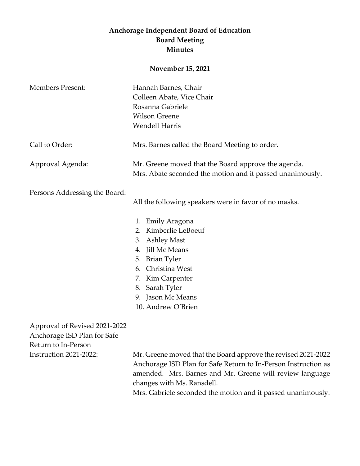## **Anchorage Independent Board of Education Board Meeting Minutes**

## **November 15, 2021**

| <b>Members Present:</b>                                                                                       | Hannah Barnes, Chair<br>Colleen Abate, Vice Chair<br>Rosanna Gabriele<br><b>Wilson Greene</b><br><b>Wendell Harris</b>                                                                                                                                          |
|---------------------------------------------------------------------------------------------------------------|-----------------------------------------------------------------------------------------------------------------------------------------------------------------------------------------------------------------------------------------------------------------|
| Call to Order:                                                                                                | Mrs. Barnes called the Board Meeting to order.                                                                                                                                                                                                                  |
| Approval Agenda:                                                                                              | Mr. Greene moved that the Board approve the agenda.<br>Mrs. Abate seconded the motion and it passed unanimously.                                                                                                                                                |
| Persons Addressing the Board:                                                                                 | All the following speakers were in favor of no masks.<br>1. Emily Aragona<br>2. Kimberlie LeBoeuf<br>3. Ashley Mast<br>4. Jill Mc Means<br>5. Brian Tyler<br>6. Christina West<br>7. Kim Carpenter<br>8. Sarah Tyler<br>9. Jason Mc Means<br>10. Andrew O'Brien |
| Approval of Revised 2021-2022<br>Anchorage ISD Plan for Safe<br>Return to In-Person<br>Instruction 2021-2022: | Mr. Greene moved that the Board approve the revised 2021-2022<br>Anchorage ISD Plan for Safe Return to In-Person Instruction as                                                                                                                                 |

amended. Mrs. Barnes and Mr. Greene will review language changes with Ms. Ransdell.

Mrs. Gabriele seconded the motion and it passed unanimously.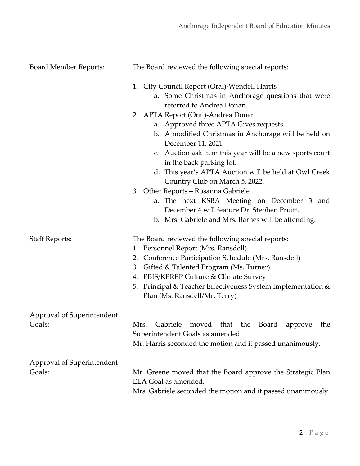| <b>Board Member Reports:</b>         | The Board reviewed the following special reports:                                                                                                                                                                                                                                                                                                                                                                                                                                                                                      |
|--------------------------------------|----------------------------------------------------------------------------------------------------------------------------------------------------------------------------------------------------------------------------------------------------------------------------------------------------------------------------------------------------------------------------------------------------------------------------------------------------------------------------------------------------------------------------------------|
|                                      | 1. City Council Report (Oral)-Wendell Harris<br>a. Some Christmas in Anchorage questions that were<br>referred to Andrea Donan.                                                                                                                                                                                                                                                                                                                                                                                                        |
|                                      | 2. APTA Report (Oral)-Andrea Donan<br>a. Approved three APTA Gives requests<br>b. A modified Christmas in Anchorage will be held on<br>December 11, 2021<br>c. Auction ask item this year will be a new sports court<br>in the back parking lot.<br>d. This year's APTA Auction will be held at Owl Creek<br>Country Club on March 5, 2022.<br>3. Other Reports - Rosanna Gabriele<br>a. The next KSBA Meeting on December 3 and<br>December 4 will feature Dr. Stephen Pruitt.<br>b. Mrs. Gabriele and Mrs. Barnes will be attending. |
| <b>Staff Reports:</b>                | The Board reviewed the following special reports:<br>1. Personnel Report (Mrs. Ransdell)<br>Conference Participation Schedule (Mrs. Ransdell)<br>2.<br>Gifted & Talented Program (Ms. Turner)<br>3.<br>4. PBIS/KPREP Culture & Climate Survey<br>5. Principal & Teacher Effectiveness System Implementation &<br>Plan (Ms. Ransdell/Mr. Terry)                                                                                                                                                                                         |
| Approval of Superintendent<br>Goals: | Gabriele<br>moved that the Board<br>Mrs.<br>the<br>approve<br>Superintendent Goals as amended.<br>Mr. Harris seconded the motion and it passed unanimously.                                                                                                                                                                                                                                                                                                                                                                            |
| Approval of Superintendent<br>Goals: | Mr. Greene moved that the Board approve the Strategic Plan<br>ELA Goal as amended.<br>Mrs. Gabriele seconded the motion and it passed unanimously.                                                                                                                                                                                                                                                                                                                                                                                     |